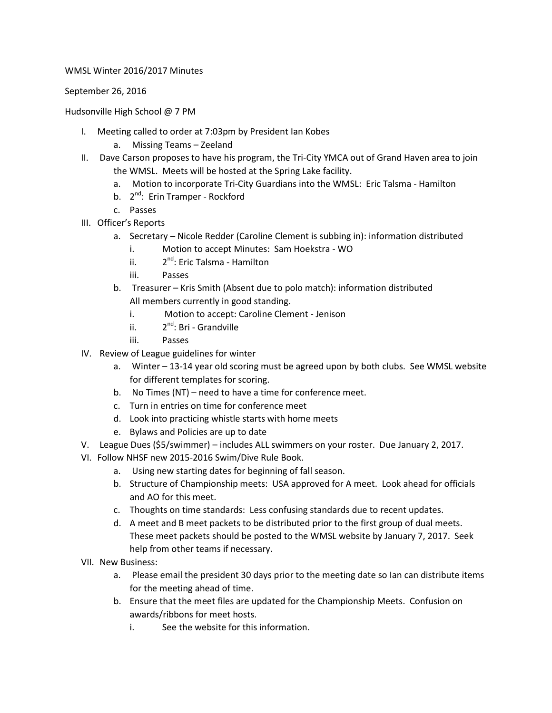## WMSL Winter 2016/2017 Minutes

September 26, 2016

Hudsonville High School @ 7 PM

- I. Meeting called to order at 7:03pm by President Ian Kobes
	- a. Missing Teams Zeeland
- II. Dave Carson proposes to have his program, the Tri-City YMCA out of Grand Haven area to join the WMSL. Meets will be hosted at the Spring Lake facility.
	- a. Motion to incorporate Tri-City Guardians into the WMSL: Eric Talsma Hamilton
	- b. 2<sup>nd</sup>: Erin Tramper Rockford
	- c. Passes
- III. Officer's Reports
	- a. Secretary Nicole Redder (Caroline Clement is subbing in): information distributed
		- i. Motion to accept Minutes: Sam Hoekstra WO
		- ii. 2  $2^{nd}$ : Eric Talsma - Hamilton
		- iii. Passes
	- b. Treasurer Kris Smith (Absent due to polo match): information distributed All members currently in good standing.
		- i. Motion to accept: Caroline Clement Jenison
		- ii. 2  $2^{nd}$ : Bri - Grandville
		- iii. Passes
- IV. Review of League guidelines for winter
	- a. Winter 13-14 year old scoring must be agreed upon by both clubs. See WMSL website for different templates for scoring.
	- b. No Times (NT) need to have a time for conference meet.
	- c. Turn in entries on time for conference meet
	- d. Look into practicing whistle starts with home meets
	- e. Bylaws and Policies are up to date
- V. League Dues (\$5/swimmer) includes ALL swimmers on your roster. Due January 2, 2017.
- VI. Follow NHSF new 2015-2016 Swim/Dive Rule Book.
	- a. Using new starting dates for beginning of fall season.
	- b. Structure of Championship meets: USA approved for A meet. Look ahead for officials and AO for this meet.
	- c. Thoughts on time standards: Less confusing standards due to recent updates.
	- d. A meet and B meet packets to be distributed prior to the first group of dual meets. These meet packets should be posted to the WMSL website by January 7, 2017. Seek help from other teams if necessary.
- VII. New Business:
	- a. Please email the president 30 days prior to the meeting date so Ian can distribute items for the meeting ahead of time.
	- b. Ensure that the meet files are updated for the Championship Meets. Confusion on awards/ribbons for meet hosts.
		- i. See the website for this information.